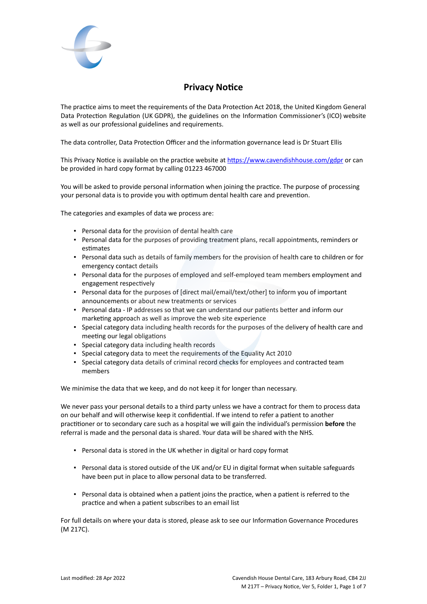

# **Privacy Notice**

The practice aims to meet the requirements of the Data Protection Act 2018, the United Kingdom General Data Protection Regulation (UK GDPR), the guidelines on the Information Commissioner's (ICO) website as well as our professional guidelines and requirements.

The data controller, Data Protection Officer and the information governance lead is Dr Stuart Ellis

This Privacy Notice is available on the practice website at <https://www.cavendishhouse.com/gdpr> or can be provided in hard copy format by calling 01223 467000

You will be asked to provide personal information when joining the practice. The purpose of processing your personal data is to provide you with optimum dental health care and prevention.

The categories and examples of data we process are:

- Personal data for the provision of dental health care
- Personal data for the purposes of providing treatment plans, recall appointments, reminders or estimates
- Personal data such as details of family members for the provision of health care to children or for emergency contact details
- Personal data for the purposes of employed and self-employed team members employment and engagement respectively
- Personal data for the purposes of [direct mail/email/text/other] to inform you of important announcements or about new treatments or services
- Personal data IP addresses so that we can understand our patients better and inform our marketing approach as well as improve the web site experience
- Special category data including health records for the purposes of the delivery of health care and meeting our legal obligations
- Special category data including health records
- Special category data to meet the requirements of the Equality Act 2010
- Special category data details of criminal record checks for employees and contracted team members

We minimise the data that we keep, and do not keep it for longer than necessary.

We never pass your personal details to a third party unless we have a contract for them to process data on our behalf and will otherwise keep it confidential. If we intend to refer a patient to another practitioner or to secondary care such as a hospital we will gain the individual's permission **before** the referral is made and the personal data is shared. Your data will be shared with the NHS.

- Personal data is stored in the UK whether in digital or hard copy format
- Personal data is stored outside of the UK and/or EU in digital format when suitable safeguards have been put in place to allow personal data to be transferred.
- Personal data is obtained when a patient joins the practice, when a patient is referred to the practice and when a patient subscribes to an email list

For full details on where your data is stored, please ask to see our Information Governance Procedures (M 217C).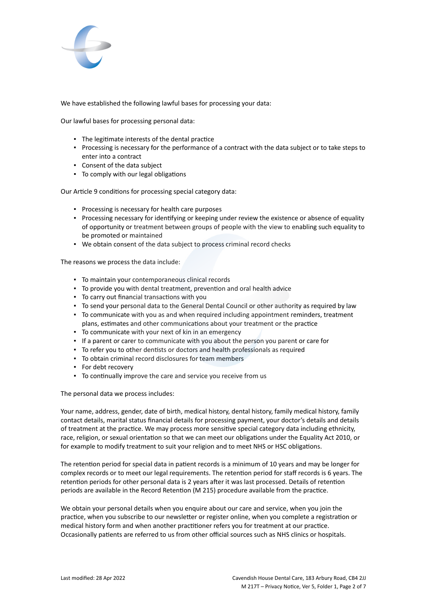

We have established the following lawful bases for processing your data:

Our lawful bases for processing personal data:

- The legitimate interests of the dental practice
- Processing is necessary for the performance of a contract with the data subject or to take steps to enter into a contract
- Consent of the data subject
- To comply with our legal obligations

Our Article 9 conditions for processing special category data:

- Processing is necessary for health care purposes
- Processing necessary for identifying or keeping under review the existence or absence of equality of opportunity or treatment between groups of people with the view to enabling such equality to be promoted or maintained
- We obtain consent of the data subject to process criminal record checks

The reasons we process the data include:

- To maintain your contemporaneous clinical records
- To provide you with dental treatment, prevention and oral health advice
- To carry out financial transactions with you
- To send your personal data to the General Dental Council or other authority as required by law
- To communicate with you as and when required including appointment reminders, treatment plans, estimates and other communications about your treatment or the practice
- To communicate with your next of kin in an emergency
- If a parent or carer to communicate with you about the person you parent or care for
- To refer you to other dentists or doctors and health professionals as required
- To obtain criminal record disclosures for team members
- For debt recovery
- To continually improve the care and service you receive from us

The personal data we process includes:

Your name, address, gender, date of birth, medical history, dental history, family medical history, family contact details, marital status financial details for processing payment, your doctor's details and details of treatment at the practice. We may process more sensitive special category data including ethnicity, race, religion, or sexual orientation so that we can meet our obligations under the Equality Act 2010, or for example to modify treatment to suit your religion and to meet NHS or HSC obligations.

The retention period for special data in patient records is a minimum of 10 years and may be longer for complex records or to meet our legal requirements. The retention period for staff records is 6 years. The retention periods for other personal data is 2 years after it was last processed. Details of retention periods are available in the Record Retention (M 215) procedure available from the practice.

We obtain your personal details when you enquire about our care and service, when you join the practice, when you subscribe to our newsletter or register online, when you complete a registration or medical history form and when another practitioner refers you for treatment at our practice. Occasionally patients are referred to us from other official sources such as NHS clinics or hospitals.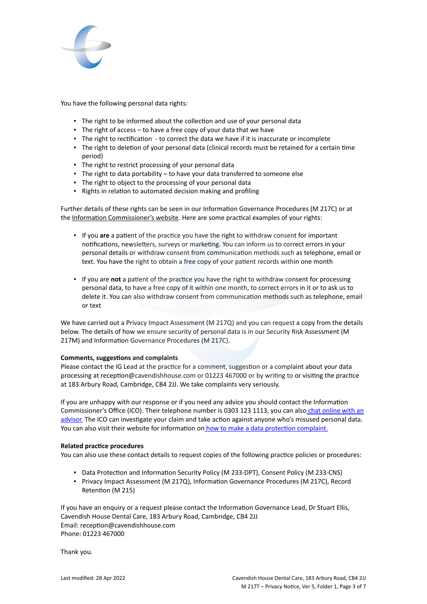

You have the following personal data rights:

- **.** The right to be informed about the collection and use of your personal data
- **•** The right of access  $-$  to have a free copy of your data that we have
- The right to rectification to correct the data we have if it is inaccurate or incomplete
- The right to deletion of your personal data (clinical records must be retained for a certain time period)
- The right to restrict processing of your personal data
- The right to data portability to have your data transferred to someone else
- The right to object to the processing of your personal data
- Rights in relation to automated decision making and profiling

Further details of these rights can be seen in our Information Governance Procedures (M 217C) or at the [Information Commissioner's website](https://ico.org.uk/for-organisations/guide-to-the-general-data-protection-regulation-gdpr/individual-rights/). Here are some practical examples of your rights:

- If you **are** a patient of the practice you have the right to withdraw consent for important notifications, newsletters, surveys or marketing. You can inform us to correct errors in your personal details or withdraw consent from communication methods such as telephone, email or text. You have the right to obtain a free copy of your patient records within one month
- If you are **not** a patient of the practice you have the right to withdraw consent for processing personal data, to have a free copy of it within one month, to correct errors in it or to ask us to delete it. You can also withdraw consent from communication methods such as telephone, email or text

We have carried out a Privacy Impact Assessment (M 217Q) and you can request a copy from the details below. The details of how we ensure security of personal data is in our Security Risk Assessment (M 217M) and Information Governance Procedures (M 217C).

## **Comments, suggestions and complaints**

Please contact the IG Lead at the practice for a comment, suggestion or a complaint about your data processing at reception@cavendishhouse.com or 01223 467000 or by writing to or visiting the practice at 183 Arbury Road, Cambridge, CB4 2JJ. We take complaints very seriously.

If you are unhappy with our response or if you need any advice you should contact the Information Commissioner's Office (ICO). Their telephone number is 0303 123 1113, you can also [chat online with an](https://ico.org.uk/global/contact-us/live-chat/) [advisor.](https://ico.org.uk/global/contact-us/live-chat/) The ICO can investigate your claim and take action against anyone who's misused personal data. You can also visit their website for information on [how to make a data protection complaint.](https://ico.org.uk/make-a-complaint)

## **Related practice procedures**

You can also use these contact details to request copies of the following practice policies or procedures:

- Data Protection and Information Security Policy (M 233-DPT), Consent Policy (M 233-CNS)
- Privacy Impact Assessment (M 217Q), Information Governance Procedures (M 217C), Record Retention (M 215)

If you have an enquiry or a request please contact the Information Governance Lead, Dr Stuart Ellis, Cavendish House Dental Care, 183 Arbury Road, Cambridge, CB4 2JJ Email: reception@cavendishhouse.com Phone: 01223 467000

Thank you.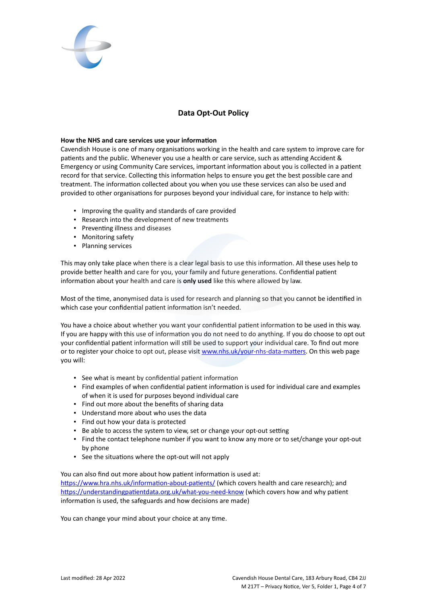

# **Data Opt-Out Policy**

#### **How the NHS and care services use your information**

Cavendish House is one of many organisations working in the health and care system to improve care for patients and the public. Whenever you use a health or care service, such as attending Accident & Emergency or using Community Care services, important information about you is collected in a patient record for that service. Collecting this information helps to ensure you get the best possible care and treatment. The information collected about you when you use these services can also be used and provided to other organisations for purposes beyond your individual care, for instance to help with:

- Improving the quality and standards of care provided
- Research into the development of new treatments
- Preventing illness and diseases
- Monitoring safety
- Planning services

This may only take place when there is a clear legal basis to use this information. All these uses help to provide better health and care for you, your family and future generations. Confidential patient information about your health and care is **only used** like this where allowed by law.

Most of the time, anonymised data is used for research and planning so that you cannot be identified in which case your confidential patient information isn't needed.

You have a choice about whether you want your confidential patient information to be used in this way. If you are happy with this use of information you do not need to do anything. If you do choose to opt out your confidential patient information will still be used to support your individual care. To find out more or to register your choice to opt out, please visit [www.nhs.uk/your-nhs-data-matters](http://www.nhs.uk/your-nhs-data-matters). On this web page you will:

- See what is meant by confidential patient information
- Find examples of when confidential patient information is used for individual care and examples of when it is used for purposes beyond individual care
- Find out more about the benefits of sharing data
- Understand more about who uses the data
- Find out how your data is protected
- Be able to access the system to view, set or change your opt-out setting
- Find the contact telephone number if you want to know any more or to set/change your opt-out by phone
- See the situations where the opt-out will not apply

You can also find out more about how patient information is used at:

[https://www.hra.nhs.uk/information-about-patients/](https://www.hra.nhs.uk/information-about-patients/%20) (which covers health and care research); and <https://understandingpatientdata.org.uk/what-you-need-know> (which covers how and why patient information is used, the safeguards and how decisions are made)

You can change your mind about your choice at any time.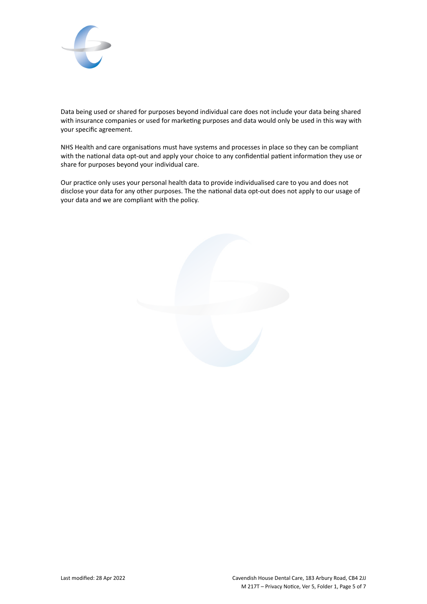

Data being used or shared for purposes beyond individual care does not include your data being shared with insurance companies or used for marketing purposes and data would only be used in this way with your specific agreement.

NHS Health and care organisations must have systems and processes in place so they can be compliant with the national data opt-out and apply your choice to any confidential patient information they use or share for purposes beyond your individual care.

Our practice only uses your personal health data to provide individualised care to you and does not disclose your data for any other purposes. The the national data opt-out does not apply to our usage of your data and we are compliant with the policy.

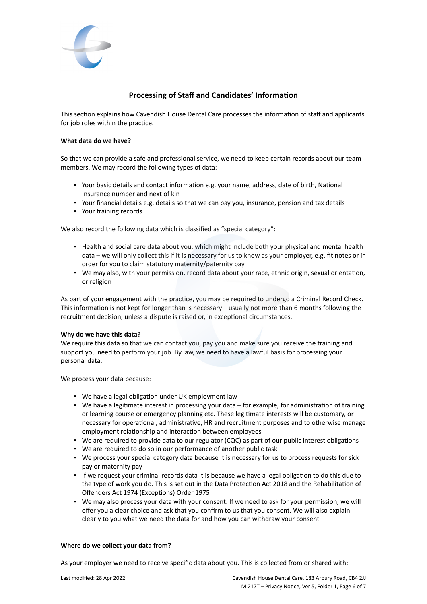

# **Processing of Staff and Candidates' Information**

This section explains how Cavendish House Dental Care processes the information of staff and applicants for job roles within the practice.

#### **What data do we have?**

So that we can provide a safe and professional service, we need to keep certain records about our team members. We may record the following types of data:

- Your basic details and contact information e.g. your name, address, date of birth, National Insurance number and next of kin
- Your financial details e.g. details so that we can pay you, insurance, pension and tax details
- Your training records

We also record the following data which is classified as "special category":

- Health and social care data about you, which might include both your physical and mental health data – we will only collect this if it is necessary for us to know as your employer, e.g. fit notes or in order for you to claim statutory maternity/paternity pay
- We may also, with your permission, record data about your race, ethnic origin, sexual orientation, or religion

As part of your engagement with the practice, you may be required to undergo a Criminal Record Check. This information is not kept for longer than is necessary—usually not more than 6 months following the recruitment decision, unless a dispute is raised or, in exceptional circumstances.

## **Why do we have this data?**

We require this data so that we can contact you, pay you and make sure you receive the training and support you need to perform your job. By law, we need to have a lawful basis for processing your personal data.

We process your data because:

- We have a legal obligation under UK employment law
- We have a legitimate interest in processing your data for example, for administration of training or learning course or emergency planning etc. These legitimate interests will be customary, or necessary for operational, administrative, HR and recruitment purposes and to otherwise manage employment relationship and interaction between employees
- We are required to provide data to our regulator (CQC) as part of our public interest obligations
- We are required to do so in our performance of another public task
- We process your special category data because It is necessary for us to process requests for sick pay or maternity pay
- If we request your criminal records data it is because we have a legal obligation to do this due to the type of work you do. This is set out in the Data Protection Act 2018 and the Rehabilitation of Offenders Act 1974 (Exceptions) Order 1975
- We may also process your data with your consent. If we need to ask for your permission, we will offer you a clear choice and ask that you confirm to us that you consent. We will also explain clearly to you what we need the data for and how you can withdraw your consent

#### **Where do we collect your data from?**

As your employer we need to receive specific data about you. This is collected from or shared with: